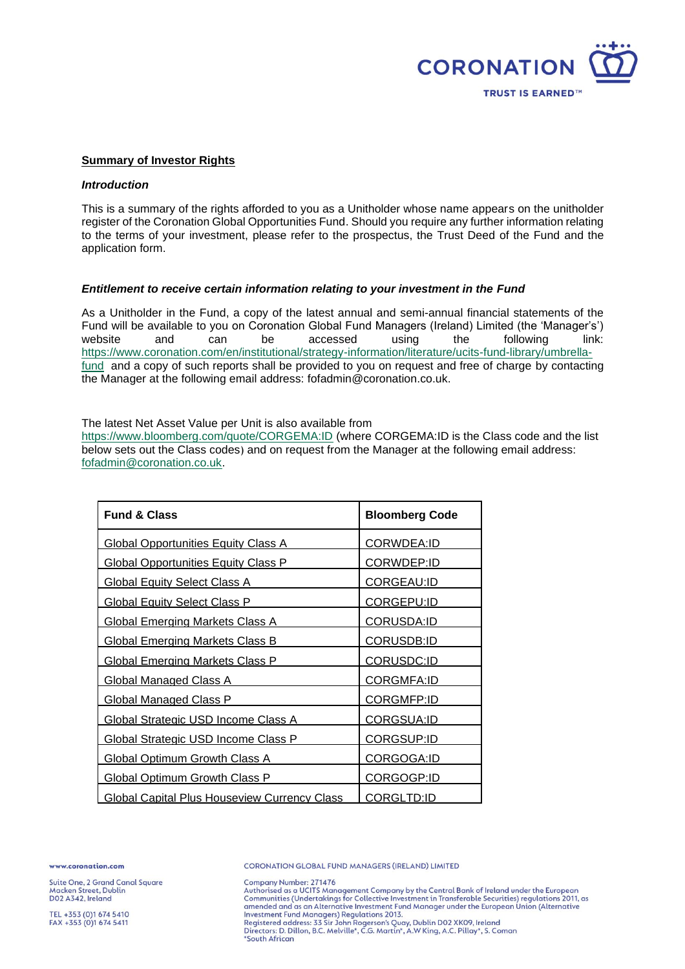

#### **Summary of Investor Rights**

#### *Introduction*

This is a summary of the rights afforded to you as a Unitholder whose name appears on the unitholder register of the Coronation Global Opportunities Fund. Should you require any further information relating to the terms of your investment, please refer to the prospectus, the Trust Deed of the Fund and the application form.

#### *Entitlement to receive certain information relating to your investment in the Fund*

As a Unitholder in the Fund, a copy of the latest annual and semi-annual financial statements of the Fund will be available to you on Coronation Global Fund Managers (Ireland) Limited (the 'Manager's') website and can be accessed using the following link: [https://www.coronation.com/en/institutional/strategy-information/literature/ucits-fund-library/umbrella](https://www.coronation.com/en/institutional/strategy-information/literature/ucits-fund-library/umbrella-fund)[fund](https://www.coronation.com/en/institutional/strategy-information/literature/ucits-fund-library/umbrella-fund) and a copy of such reports shall be provided to you on request and free of charge by contacting the Manager at the following email address: fofadmin@coronation.co.uk.

The latest Net Asset Value per Unit is also available from

<https://www.bloomberg.com/quote/CORGEMA:ID> (where CORGEMA:ID is the Class code and the list below sets out the Class codes) and on request from the Manager at the following email address: [fofadmin@coronation.co.uk.](mailto:fofadmin@coronation.co.uk)

| <b>Fund &amp; Class</b>                             | <b>Bloomberg Code</b> |
|-----------------------------------------------------|-----------------------|
| <b>Global Opportunities Equity Class A</b>          | CORWDEA:ID            |
| <b>Global Opportunities Equity Class P</b>          | CORWDEP:ID            |
| <b>Global Equity Select Class A</b>                 | <b>CORGEAU:ID</b>     |
| <b>Global Equity Select Class P</b>                 | CORGEPU:ID            |
| <b>Global Emerging Markets Class A</b>              | CORUSDA:ID            |
| <b>Global Emerging Markets Class B</b>              | <b>CORUSDB:ID</b>     |
| <b>Global Emerging Markets Class P</b>              | CORUSDC:ID            |
| <b>Global Managed Class A</b>                       | CORGMFA:ID            |
| <b>Global Managed Class P</b>                       | <u>CORGMFP:ID</u>     |
| Global Strategic USD Income Class A                 | <b>CORGSUA:ID</b>     |
| <b>Global Strategic USD Income Class P</b>          | <b>CORGSUP:ID</b>     |
| <b>Global Optimum Growth Class A</b>                | CORGOGA:ID            |
| <b>Global Optimum Growth Class P</b>                | CORGOGP:ID            |
| <b>Global Capital Plus Houseview Currency Class</b> | CORGLTD:ID            |

ww.coronation.com

Suite One, 2 Grand Canal Square Macken Street, Dublin DO2 A342, Ireland

Company Number: 271476 Company Number: 271470<br>Authorised as a UCITS Management Company by the Central Bank of Ireland under the European<br>Communities (Undertakings for Collective Investment in Transferable Securities) regulations 2011, as<br>amended Investment Fund Managers) Regulations 2013.

nvessinent i und manageisy regionatoris zon.<br>Registered address: 33 Sir John Rogerson's Quay, Dublin D02 XK09, Ireland<br>Directors: D. Dillon, B.C. Melville\*, C.G. Martin\*, A.W King, A.C. Pillay\*, S. Coman \*South African

CORONATION GLOBAL FUND MANAGERS (IRELAND) LIMITED

TEL +353 (0)1 674 5410 FAX +353 (0)1 674 5411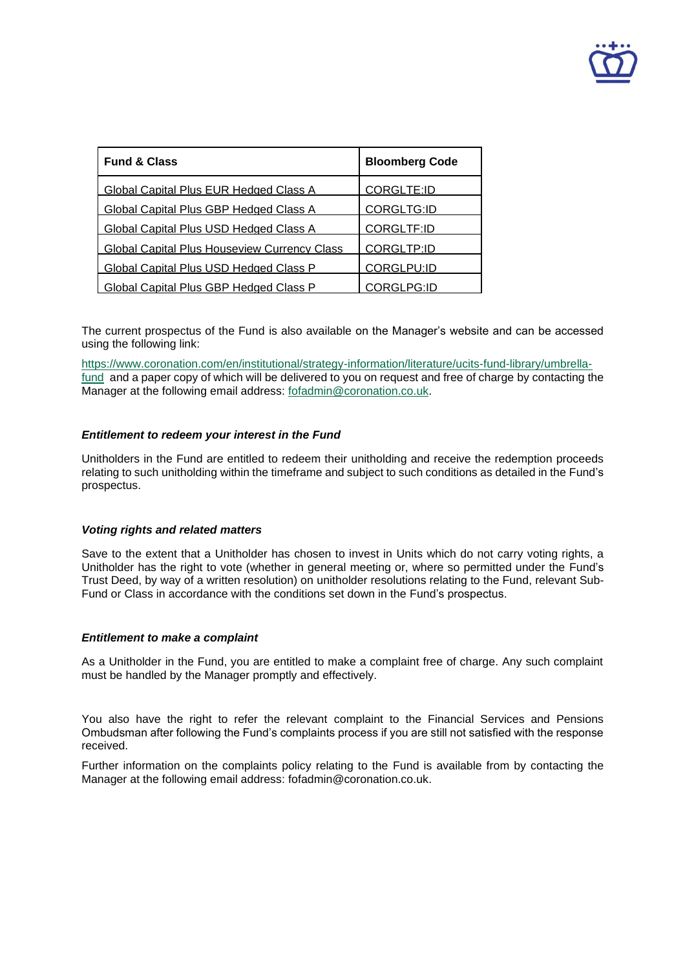

| <b>Fund &amp; Class</b>                             | <b>Bloomberg Code</b> |
|-----------------------------------------------------|-----------------------|
| Global Capital Plus EUR Hedged Class A              | <b>CORGLTE:ID</b>     |
| Global Capital Plus GBP Hedged Class A              | CORGLTG:ID            |
| Global Capital Plus USD Hedged Class A              | CORGLTF:ID            |
| <b>Global Capital Plus Houseview Currency Class</b> | CORGLTP:ID            |
| Global Capital Plus USD Hedged Class P              | CORGLPU:ID            |
| Global Capital Plus GBP Hedged Class P              | CORGLPG:ID            |

The current prospectus of the Fund is also available on the Manager's website and can be accessed using the following link:

[https://www.coronation.com/en/institutional/strategy-information/literature/ucits-fund-library/umbrella](https://www.coronation.com/en/institutional/strategy-information/literature/ucits-fund-library/umbrella-fund)[fund](https://www.coronation.com/en/institutional/strategy-information/literature/ucits-fund-library/umbrella-fund) and a paper copy of which will be delivered to you on request and free of charge by contacting the Manager at the following email address: [fofadmin@coronation.co.uk.](mailto:fofadmin@coronation.co.uk)

# *Entitlement to redeem your interest in the Fund*

Unitholders in the Fund are entitled to redeem their unitholding and receive the redemption proceeds relating to such unitholding within the timeframe and subject to such conditions as detailed in the Fund's prospectus.

## *Voting rights and related matters*

Save to the extent that a Unitholder has chosen to invest in Units which do not carry voting rights, a Unitholder has the right to vote (whether in general meeting or, where so permitted under the Fund's Trust Deed, by way of a written resolution) on unitholder resolutions relating to the Fund, relevant Sub-Fund or Class in accordance with the conditions set down in the Fund's prospectus.

## *Entitlement to make a complaint*

As a Unitholder in the Fund, you are entitled to make a complaint free of charge. Any such complaint must be handled by the Manager promptly and effectively.

You also have the right to refer the relevant complaint to the Financial Services and Pensions Ombudsman after following the Fund's complaints process if you are still not satisfied with the response received.

Further information on the complaints policy relating to the Fund is available from by contacting the Manager at the following email address: fofadmin@coronation.co.uk.